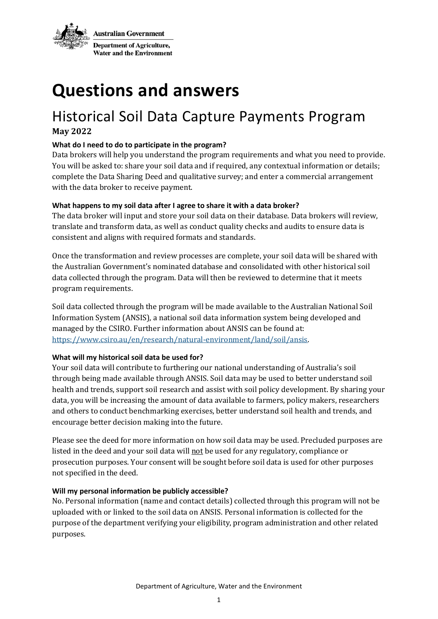

# **Questions and answers**

# Historical Soil Data Capture Payments Program **May 2022**

### **What do I need to do to participate in the program?**

Data brokers will help you understand the program requirements and what you need to provide. You will be asked to: share your soil data and if required, any contextual information or details; complete the Data Sharing Deed and qualitative survey; and enter a commercial arrangement with the data broker to receive payment.

## **What happens to my soil data after I agree to share it with a data broker?**

The data broker will input and store your soil data on their database. Data brokers will review, translate and transform data, as well as conduct quality checks and audits to ensure data is consistent and aligns with required formats and standards.

Once the transformation and review processes are complete, your soil data will be shared with the Australian Government's nominated database and consolidated with other historical soil data collected through the program. Data will then be reviewed to determine that it meets program requirements.

Soil data collected through the program will be made available to the Australian National Soil Information System (ANSIS), a national soil data information system being developed and managed by the CSIRO. Further information about ANSIS can be found at: [https://www.csiro.au/en/research/natural-environment/land/soil/ansis.](about:blank)

### **What will my historical soil data be used for?**

Your soil data will contribute to furthering our national understanding of Australia's soil through being made available through ANSIS. Soil data may be used to better understand soil health and trends, support soil research and assist with soil policy development. By sharing your data, you will be increasing the amount of data available to farmers, policy makers, researchers and others to conduct benchmarking exercises, better understand soil health and trends, and encourage better decision making into the future.

Please see the deed for more information on how soil data may be used. Precluded purposes are listed in the deed and your soil data will not be used for any regulatory, compliance or prosecution purposes. Your consent will be sought before soil data is used for other purposes not specified in the deed.

### **Will my personal information be publicly accessible?**

No. Personal information (name and contact details) collected through this program will not be uploaded with or linked to the soil data on ANSIS. Personal information is collected for the purpose of the department verifying your eligibility, program administration and other related purposes.